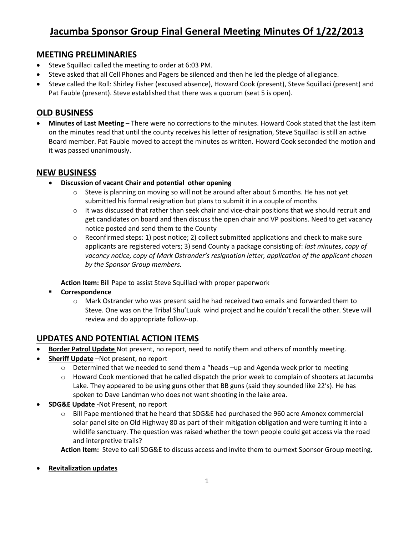## **MEETING PRELIMINARIES**

- Steve Squillaci called the meeting to order at 6:03 PM.
- Steve asked that all Cell Phones and Pagers be silenced and then he led the pledge of allegiance.
- Steve called the Roll: Shirley Fisher (excused absence), Howard Cook (present), Steve Squillaci (present) and Pat Fauble (present). Steve established that there was a quorum (seat 5 is open).

# **OLD BUSINESS**

 **Minutes of Last Meeting** – There were no corrections to the minutes. Howard Cook stated that the last item on the minutes read that until the county receives his letter of resignation, Steve Squillaci is still an active Board member. Pat Fauble moved to accept the minutes as written. Howard Cook seconded the motion and it was passed unanimously.

### **NEW BUSINESS**

- **Discussion of vacant Chair and potential other opening**
	- $\circ$  Steve is planning on moving so will not be around after about 6 months. He has not yet submitted his formal resignation but plans to submit it in a couple of months
	- $\circ$  It was discussed that rather than seek chair and vice-chair positions that we should recruit and get candidates on board and then discuss the open chair and VP positions. Need to get vacancy notice posted and send them to the County
	- o Reconfirmed steps: 1) post notice; 2) collect submitted applications and check to make sure applicants are registered voters; 3) send County a package consisting of: *last minutes*, *copy of vacancy notice, copy of Mark Ostrander's resignation letter, application of the applicant chosen by the Sponsor Group members.*

**Action Item:** Bill Pape to assist Steve Squillaci with proper paperwork

- **Correspondence** 
	- o Mark Ostrander who was present said he had received two emails and forwarded them to Steve. One was on the Tribal Shu'Luuk wind project and he couldn't recall the other. Steve will review and do appropriate follow-up.

# **UPDATES AND POTENTIAL ACTION ITEMS**

- **Border Patrol Update** Not present, no report, need to notify them and others of monthly meeting.
- **Sheriff Update** –Not present, no report
	- $\circ$  Determined that we needed to send them a "heads -up and Agenda week prior to meeting
	- o Howard Cook mentioned that he called dispatch the prior week to complain of shooters at Jacumba Lake. They appeared to be using guns other that BB guns (said they sounded like 22's). He has spoken to Dave Landman who does not want shooting in the lake area.
- **SDG&E Update -**Not Present, no report
	- $\circ$  Bill Pape mentioned that he heard that SDG&E had purchased the 960 acre Amonex commercial solar panel site on Old Highway 80 as part of their mitigation obligation and were turning it into a wildlife sanctuary. The question was raised whether the town people could get access via the road and interpretive trails?

**Action Item:** Steve to call SDG&E to discuss access and invite them to ournext Sponsor Group meeting.

**Revitalization updates**